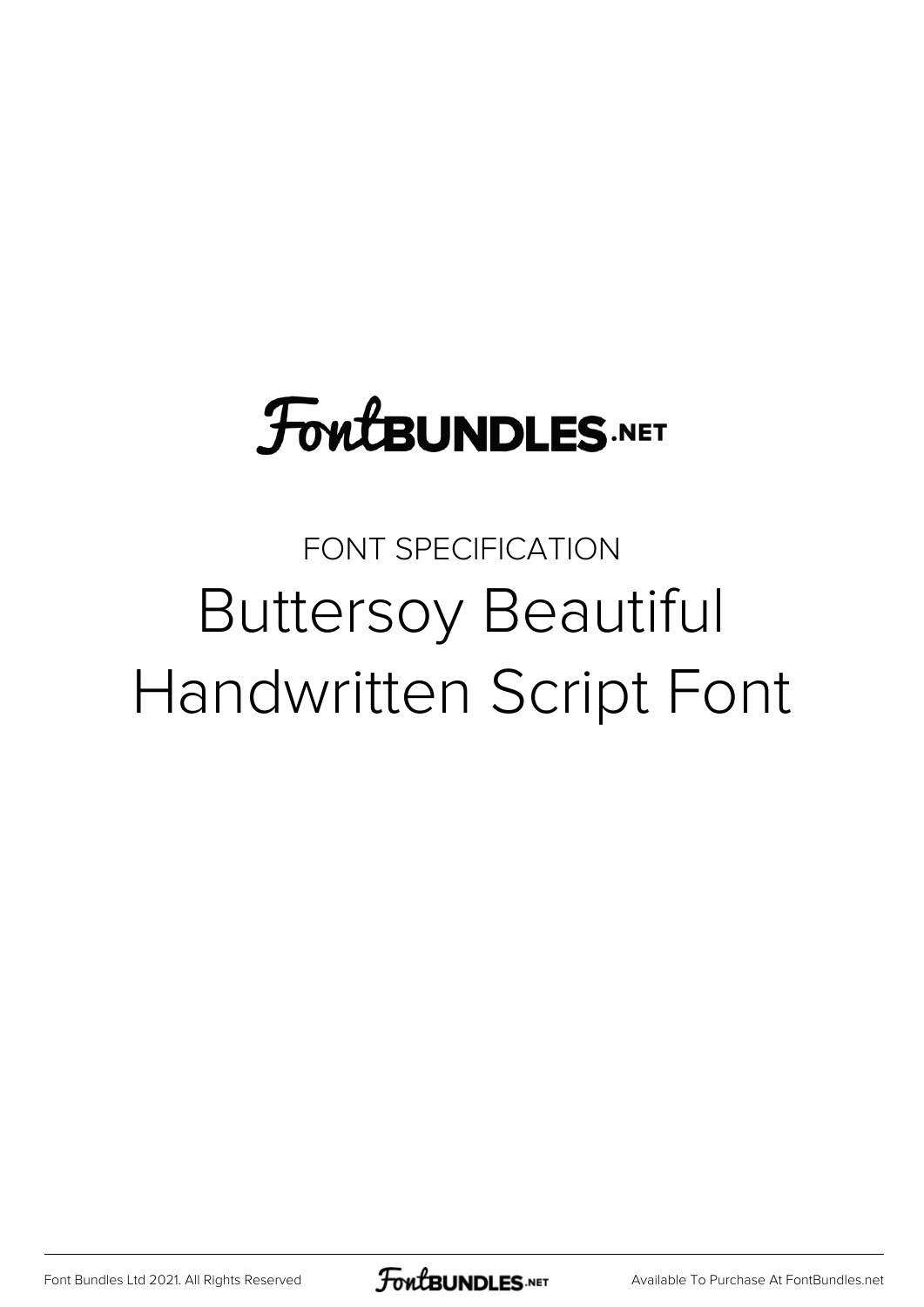## **FoutBUNDLES.NET**

## FONT SPECIFICATION Buttersoy Beautiful Handwritten Script Font

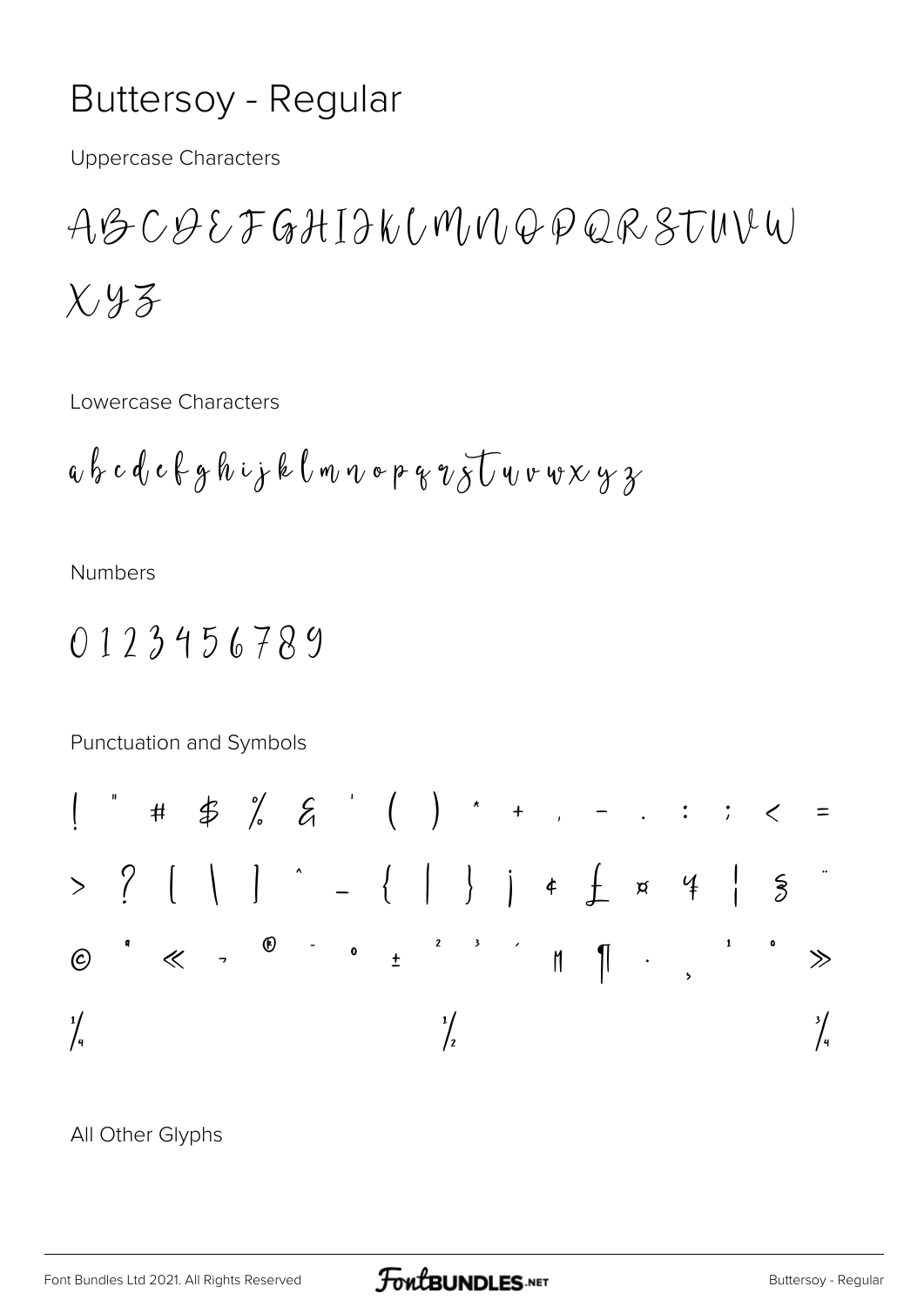## **Buttersoy - Regular**

**Uppercase Characters** 

ABCQEFGHIIKUMMQPQRSTUVW  $X43$ 

Lowercase Characters

$$
a\,b\,c\,d\,c\,k\,g\,h\,\psi\,j\,k\,l\,\mathfrak{m}\,v\,\mathfrak{o}\,\mathfrak{p}\,g\,\mathfrak{v}\,\mathfrak{F}\,\overline{U}\,v\,\mathfrak{v}\,\mathfrak{v}\,\mathfrak{x}\,\mathfrak{y}\,\mathfrak{z}
$$

**Numbers** 

## 0123456789

Punctuation and Symbols

All Other Glyphs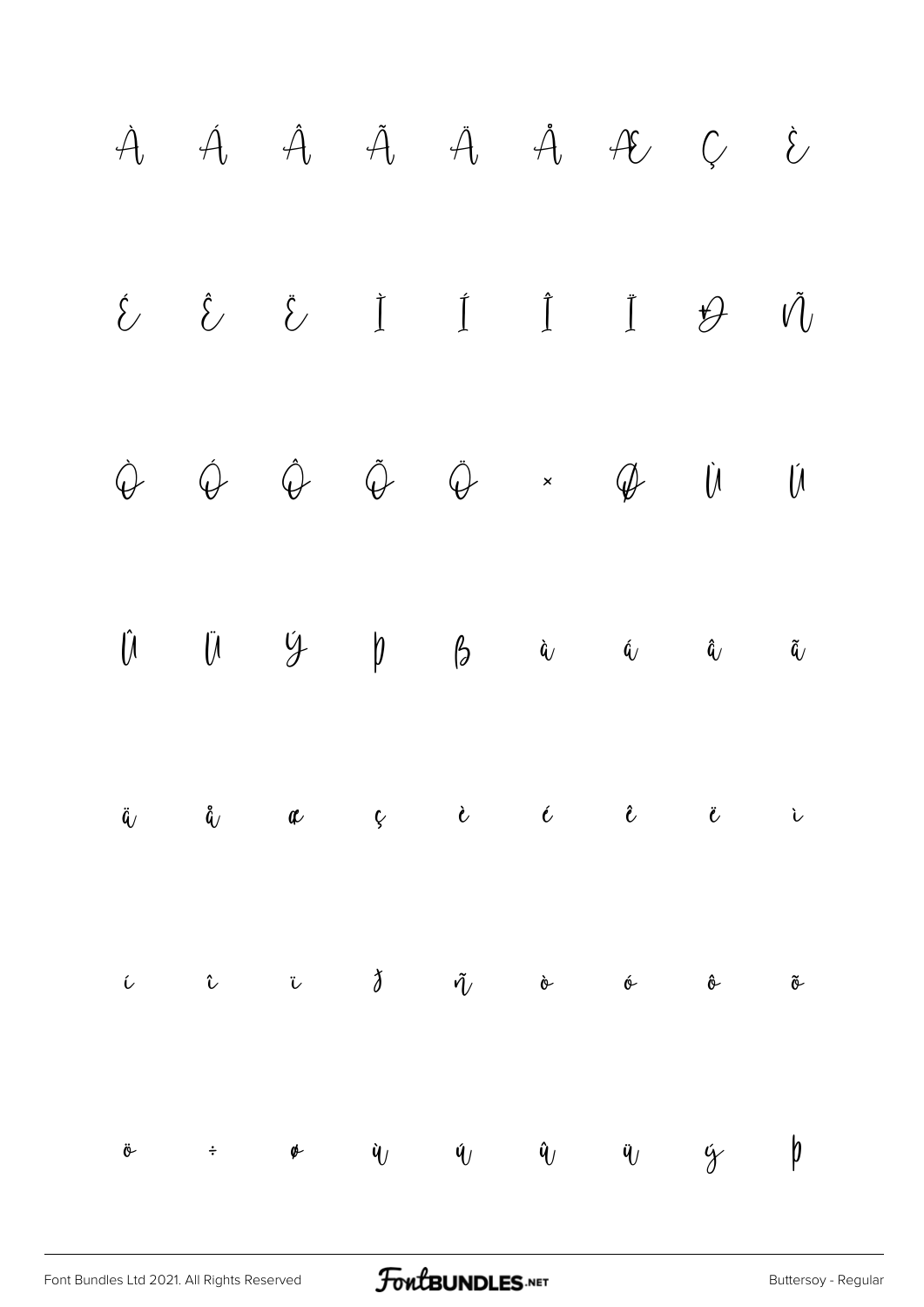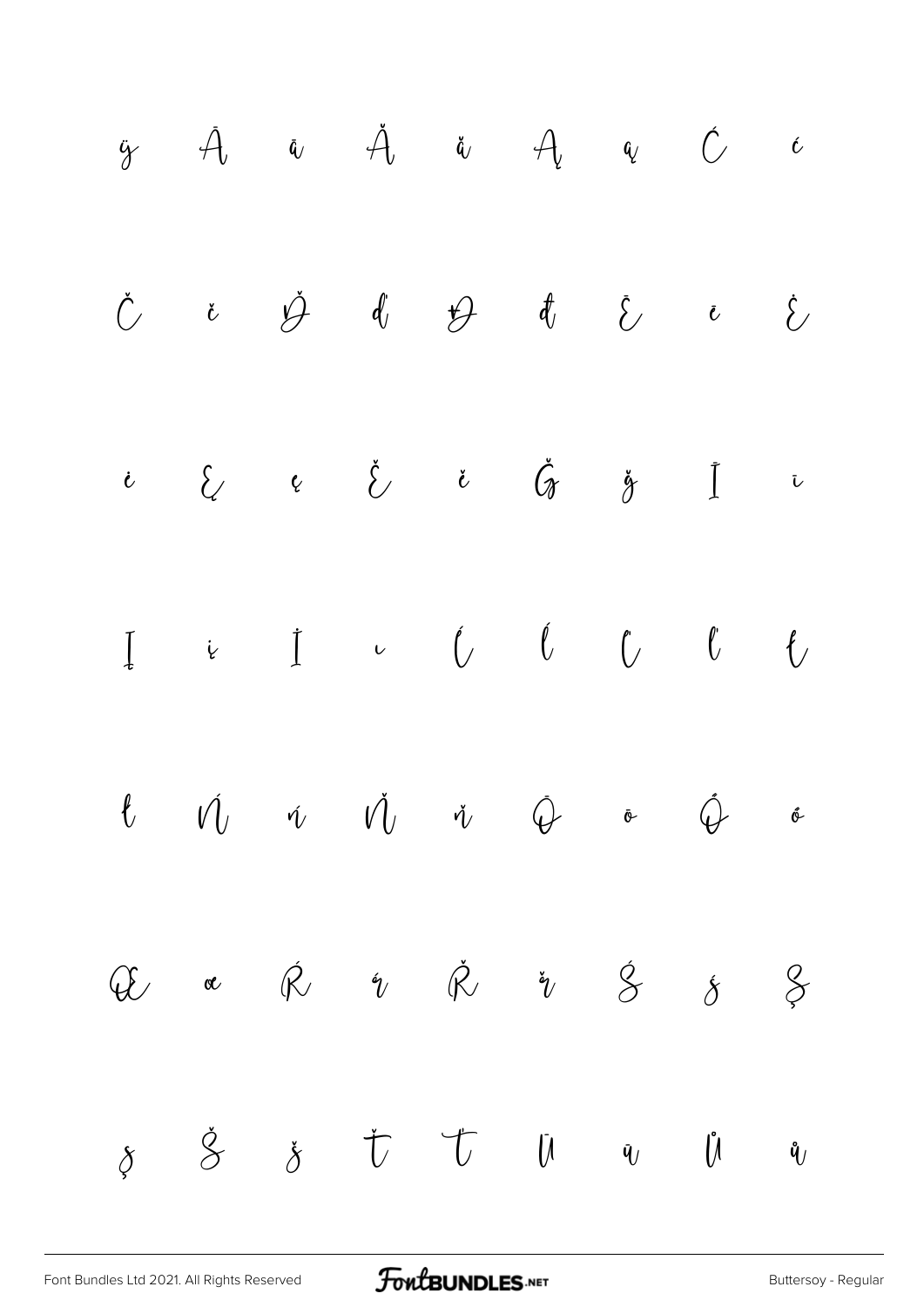ÿ Ā ā Ă ă Ą ą Ć ć Č č Ď ď Đ đ Ē ē Ė ė Ę ę Ě ě Ğ ğ Ī ī Į į İ ı Ĺ ĺ Ľ ľ Ł ł Ń ń Ň ň Ō ō Ő ő Œ œ Ŕ ŕ Ř ř Ś ś Ş ş Š š Ť ť Ū ū Ů ů

[Font Bundles Ltd 2021. All Rights Reserved](https://fontbundles.net/) **FoutBUNDLES.NET** Sunday - Regular